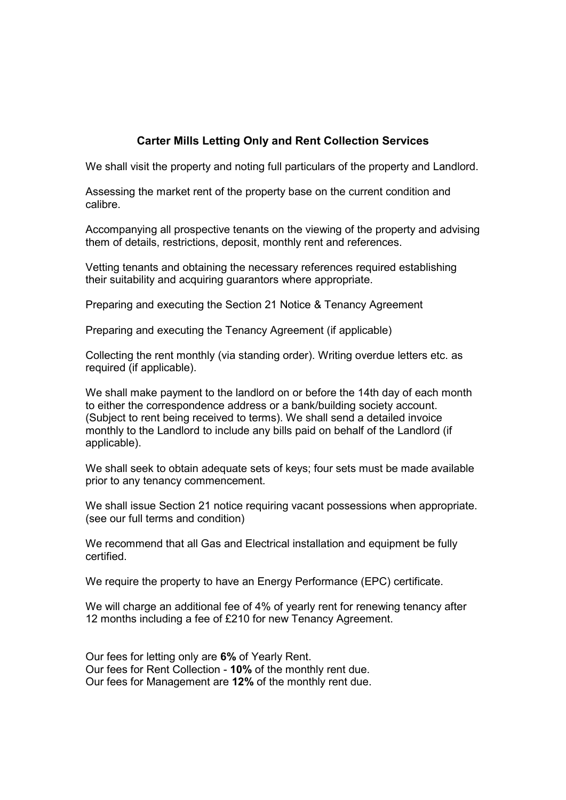## **Carter Mills Letting Only and Rent Collection Services**

We shall visit the property and noting full particulars of the property and Landlord.

Assessing the market rent of the property base on the current condition and calibre.

Accompanying all prospective tenants on the viewing of the property and advising them of details, restrictions, deposit, monthly rent and references.

Vetting tenants and obtaining the necessary references required establishing their suitability and acquiring guarantors where appropriate.

Preparing and executing the Section 21 Notice & Tenancy Agreement

Preparing and executing the Tenancy Agreement (if applicable)

Collecting the rent monthly (via standing order). Writing overdue letters etc. as required (if applicable).

We shall make payment to the landlord on or before the 14th day of each month to either the correspondence address or a bank/building society account. (Subject to rent being received to terms). We shall send a detailed invoice monthly to the Landlord to include any bills paid on behalf of the Landlord (if applicable).

We shall seek to obtain adequate sets of keys; four sets must be made available prior to any tenancy commencement.

We shall issue Section 21 notice requiring vacant possessions when appropriate. (see our full terms and condition)

We recommend that all Gas and Electrical installation and equipment be fully certified.

We require the property to have an Energy Performance (EPC) certificate.

We will charge an additional fee of 4% of yearly rent for renewing tenancy after 12 months including a fee of £210 for new Tenancy Agreement.

Our fees for letting only are **6%** of Yearly Rent. Our fees for Rent Collection - **10%** of the monthly rent due. Our fees for Management are **12%** of the monthly rent due.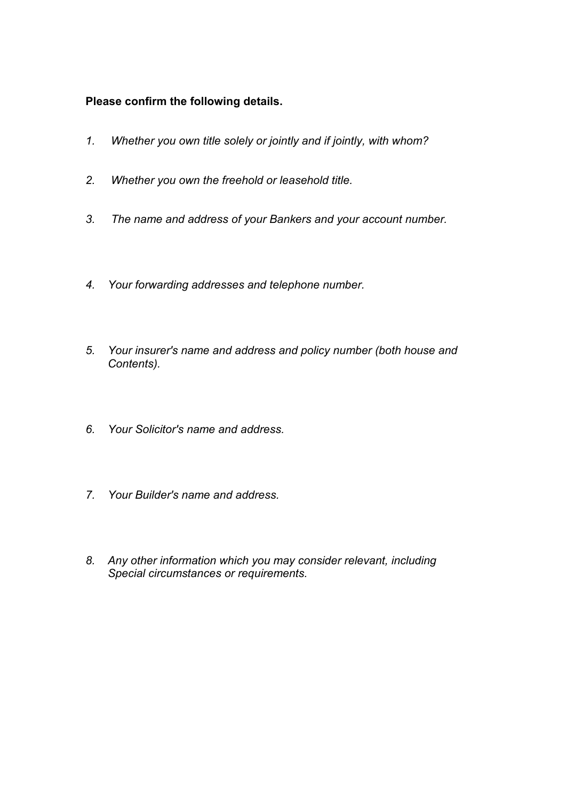## **Please confirm the following details.**

- *1. Whether you own title solely or jointly and if jointly, with whom?*
- *2. Whether you own the freehold or leasehold title.*
- *3. The name and address of your Bankers and your account number.*
- *4. Your forwarding addresses and telephone number.*
- *5. Your insurer's name and address and policy number (both house and*  *Contents).*
- *6. Your Solicitor's name and address.*
- *7. Your Builder's name and address.*
- *8. Any other information which you may consider relevant, including Special circumstances or requirements.*